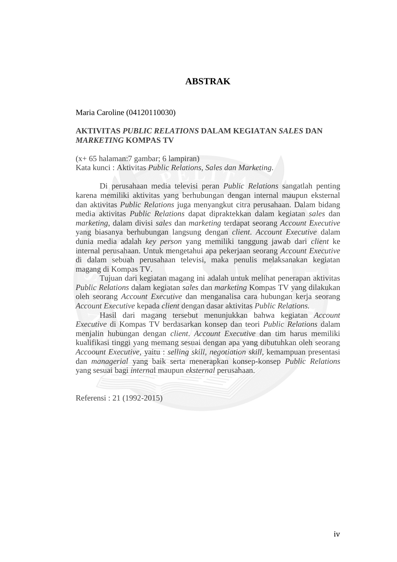## **ABSTRAK**

Maria Caroline (04120110030)

## **AKTIVITAS** *PUBLIC RELATIONS* **DALAM KEGIATAN** *SALES* **DAN**  *MARKETING* **KOMPAS TV**

(x+ 65 halaman:7 gambar; 6 lampiran) Kata kunci : Aktivitas *Public Relations*, *Sales dan Marketing*.

Di perusahaan media televisi peran *Public Relations* sangatlah penting karena memiliki aktivitas yang berhubungan dengan internal maupun eksternal dan aktivitas *Public Relations* juga menyangkut citra perusahaan. Dalam bidang media aktivitas *Public Relations* dapat dipraktekkan dalam kegiatan *sales* dan *marketing*, dalam divisi *sales* dan *marketing* terdapat seorang *Account Executive* yang biasanya berhubungan langsung dengan *client*. *Account Executive* dalam dunia media adalah *key person* yang memiliki tanggung jawab dari *client* ke internal perusahaan. Untuk mengetahui apa pekerjaan seorang *Account Executive* di dalam sebuah perusahaan televisi, maka penulis melaksanakan kegiatan magang di Kompas TV.

Tujuan dari kegiatan magang ini adalah untuk melihat penerapan aktivitas *Public Relations* dalam kegiatan *sales* dan *marketing* Kompas TV yang dilakukan oleh seorang *Account Executive* dan menganalisa cara hubungan kerja seorang *Account Executive* kepada *client* dengan dasar aktivitas *Public Relations.*

Hasil dari magang tersebut menunjukkan bahwa kegiatan *Account Executive* di Kompas TV berdasarkan konsep dan teori *Public Relations* dalam menjalin hubungan dengan *client*. *Account Executive* dan tim harus memiliki kualifikasi tinggi yang memang sesuai dengan apa yang dibutuhkan oleh seorang *Accoount Executive*, yaitu : *selling skill*, *negotiation skill*, kemampuan presentasi dan *managerial* yang baik serta menerapkan konsep-konsep *Public Relations* yang sesuai bagi *interna*l maupun *eksternal* perusahaan.

Referensi : 21 (1992-2015)